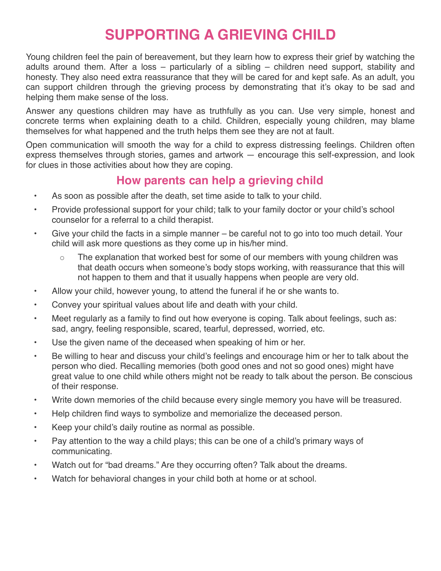## **SUPPORTING A GRIEVING CHILD**

Young children feel the pain of bereavement, but they learn how to express their grief by watching the adults around them. After a loss – particularly of a sibling – children need support, stability and honesty. They also need extra reassurance that they will be cared for and kept safe. As an adult, you can support children through the grieving process by demonstrating that it's okay to be sad and helping them make sense of the loss.

Answer any questions children may have as truthfully as you can. Use very simple, honest and concrete terms when explaining death to a child. Children, especially young children, may blame themselves for what happened and the truth helps them see they are not at fault.

Open communication will smooth the way for a child to express distressing feelings. Children often express themselves through stories, games and artwork — encourage this self-expression, and look for clues in those activities about how they are coping.

## **How parents can help a grieving child**

- As soon as possible after the death, set time aside to talk to your child.
- Provide professional support for your child; talk to your family doctor or your child's school counselor for a referral to a child therapist.
- Give your child the facts in a simple manner be careful not to go into too much detail. Your child will ask more questions as they come up in his/her mind.
	- The explanation that worked best for some of our members with young children was that death occurs when someone's body stops working, with reassurance that this will not happen to them and that it usually happens when people are very old.
- Allow your child, however young, to attend the funeral if he or she wants to.
- Convey your spiritual values about life and death with your child.
- Meet regularly as a family to find out how everyone is coping. Talk about feelings, such as: sad, angry, feeling responsible, scared, tearful, depressed, worried, etc.
- Use the given name of the deceased when speaking of him or her.
- Be willing to hear and discuss your child's feelings and encourage him or her to talk about the person who died. Recalling memories (both good ones and not so good ones) might have great value to one child while others might not be ready to talk about the person. Be conscious of their response.
- Write down memories of the child because every single memory you have will be treasured.
- Help children find ways to symbolize and memorialize the deceased person.
- Keep your child's daily routine as normal as possible.
- Pay attention to the way a child plays; this can be one of a child's primary ways of communicating.
- Watch out for "bad dreams." Are they occurring often? Talk about the dreams.
- Watch for behavioral changes in your child both at home or at school.